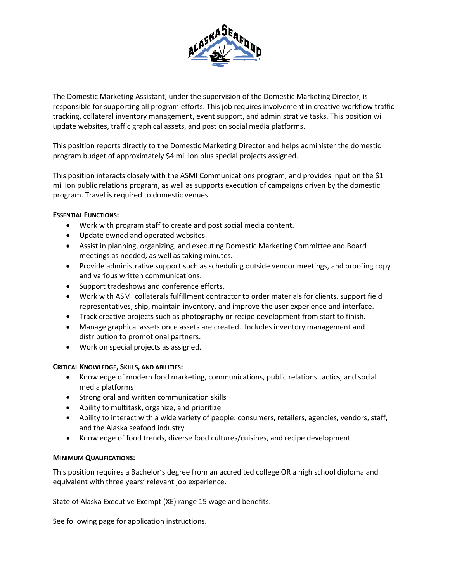

The Domestic Marketing Assistant, under the supervision of the Domestic Marketing Director, is responsible for supporting all program efforts. This job requires involvement in creative workflow traffic tracking, collateral inventory management, event support, and administrative tasks. This position will update websites, traffic graphical assets, and post on social media platforms.

This position reports directly to the Domestic Marketing Director and helps administer the domestic program budget of approximately \$4 million plus special projects assigned.

This position interacts closely with the ASMI Communications program, and provides input on the \$1 million public relations program, as well as supports execution of campaigns driven by the domestic program. Travel is required to domestic venues.

## **ESSENTIAL FUNCTIONS:**

- Work with program staff to create and post social media content.
- Update owned and operated websites.
- Assist in planning, organizing, and executing Domestic Marketing Committee and Board meetings as needed, as well as taking minutes.
- Provide administrative support such as scheduling outside vendor meetings, and proofing copy and various written communications.
- Support tradeshows and conference efforts.
- Work with ASMI collaterals fulfillment contractor to order materials for clients, support field representatives, ship, maintain inventory, and improve the user experience and interface.
- Track creative projects such as photography or recipe development from start to finish.
- Manage graphical assets once assets are created. Includes inventory management and distribution to promotional partners.
- Work on special projects as assigned.

## **CRITICAL KNOWLEDGE, SKILLS, AND ABILITIES:**

- Knowledge of modern food marketing, communications, public relations tactics, and social media platforms
- Strong oral and written communication skills
- Ability to multitask, organize, and prioritize
- Ability to interact with a wide variety of people: consumers, retailers, agencies, vendors, staff, and the Alaska seafood industry
- Knowledge of food trends, diverse food cultures/cuisines, and recipe development

## **MINIMUM QUALIFICATIONS:**

This position requires a Bachelor's degree from an accredited college OR a high school diploma and equivalent with three years' relevant job experience.

State of Alaska Executive Exempt (XE) range 15 wage and benefits.

See following page for application instructions.